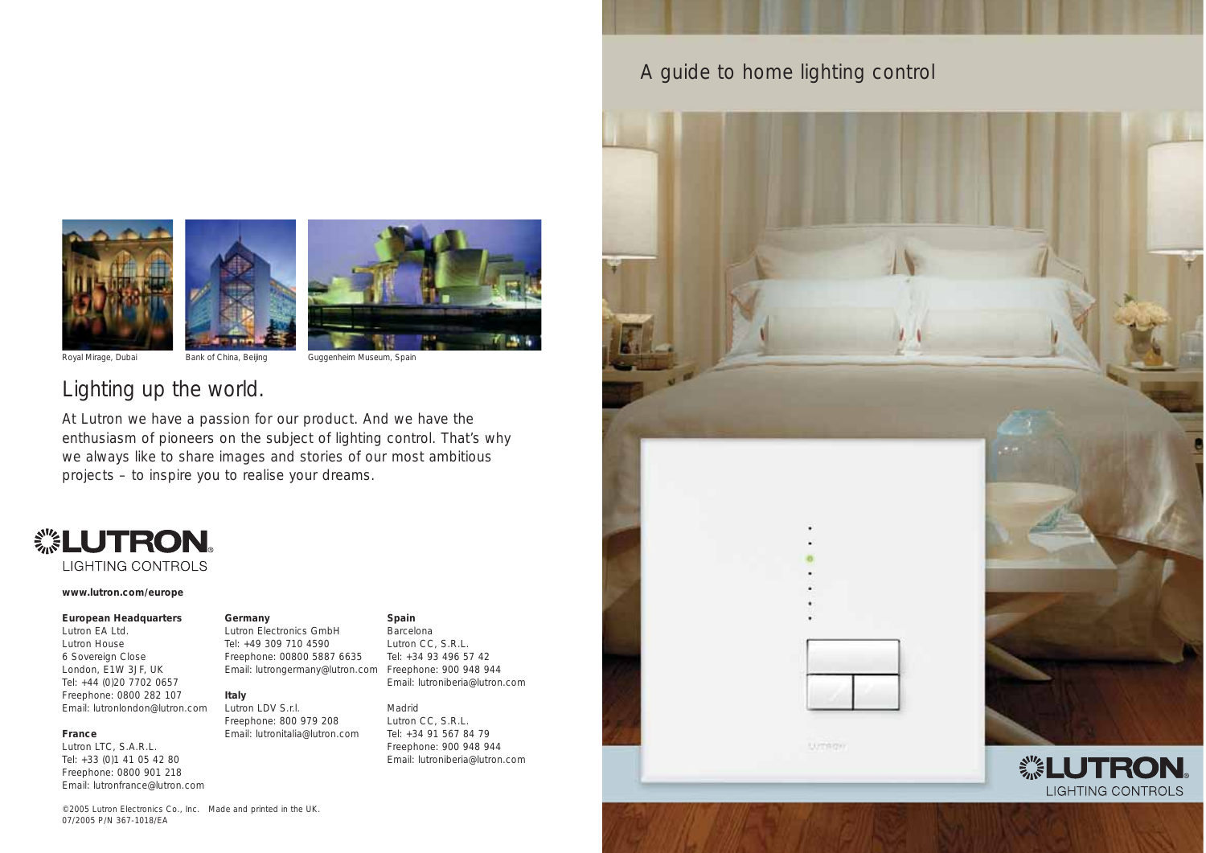A guide to home lighting control





Royal Mirage, Dubai Bank of China, Beijing Guggenheim Museum, Spain

### Lighting up the world.

At Lutron we have a passion for our product. And we have the enthusiasm of pioneers on the subject of lighting control. That's why we always like to share images and stories of our most ambitious projects – to inspire you to realise your dreams.

### *<b><i>* LUTRON。

**LIGHTING CONTROLS** 

#### **www.lutron.com/europe**

#### **European Headquarters**

Lutron EA Ltd. Lutron House 6 Sovereign Close London, E1W 3JF, UK Tel: +44 (0)20 7702 0657 Freephone: 0800 282 107 Email: lutronlondon@lutron.com

#### **France**

Lutron LTC, S.A.R.L. Tel: +33 (0)1 41 05 42 80 Freephone: 0800 901 218 Email: lutronfrance@lutron.com

#### **Germany**

Lutron Electronics GmbH Tel: +49 309 710 4590 Freephone: 00800 5887 6635 Email: lutrongermany@lutron.com Freephone: 900 948 944

#### **Italy**

Lutron LDV S.r.l. Freephone: 800 979 208 Email: lutronitalia@lutron.com **Spain** 

Barcelona Lutron CC, S.R.L. Tel: +34 93 496 57 42 Email: lutroniberia@lutron.com

#### Madrid

Lutron CC, S.R.L. Tel: +34 91 567 84 79 Freephone: 900 948 944 Email: lutroniberia@lutron.com ternon **. LUTRON** LIGHTING CONTROLS

©2005 Lutron Electronics Co., Inc. Made and printed in the UK. 07/2005 P/N 367-1018/EA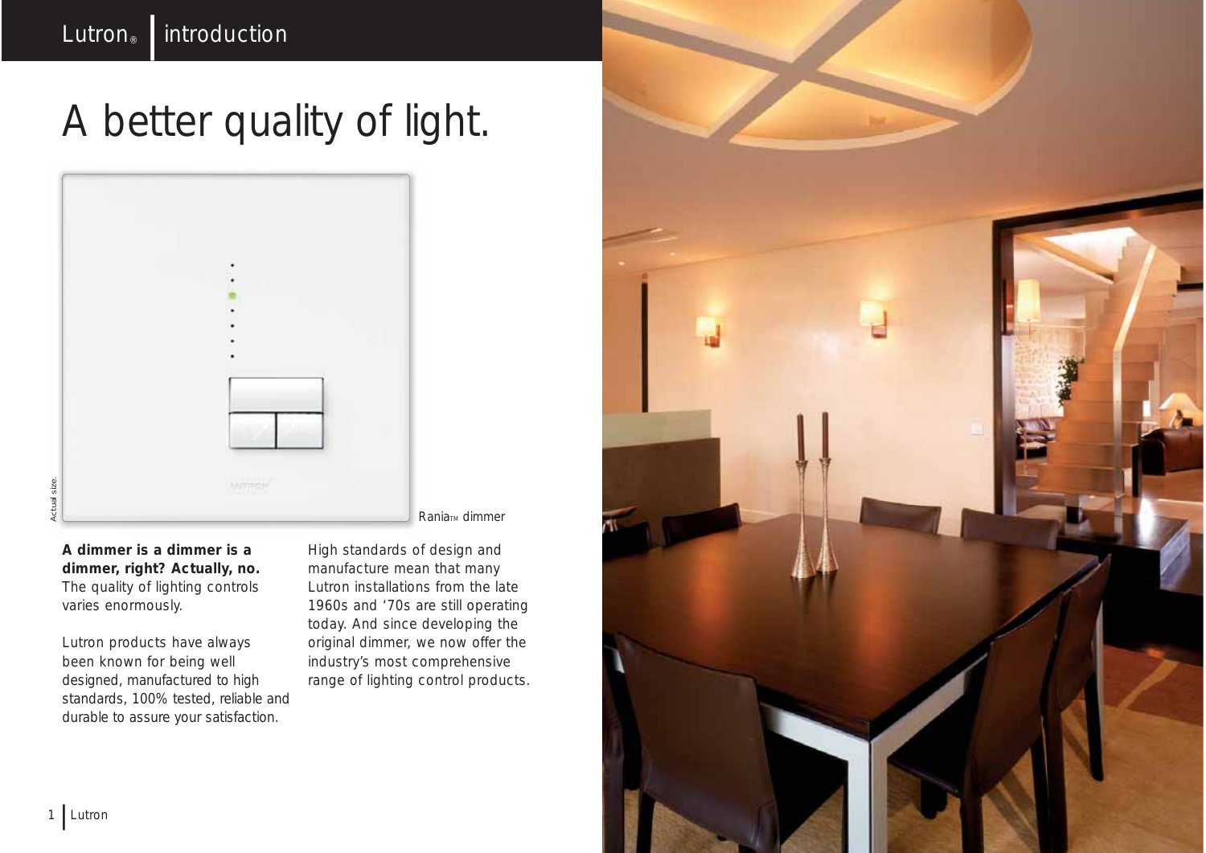# A better quality of light.



**A dimmer is a dimmer is a dimmer, right? Actually, no.** The quality of lighting controls varies enormously.

Lutron products have always been known for being well designed, manufactured to high standards, 100% tested, reliable and durable to assure your satisfaction.

High standards of design and manufacture mean that many Lutron installations from the late 1960s and '70s are still operating today. And since developing the original dimmer, we now offer the industry's most comprehensive range of lighting control products.

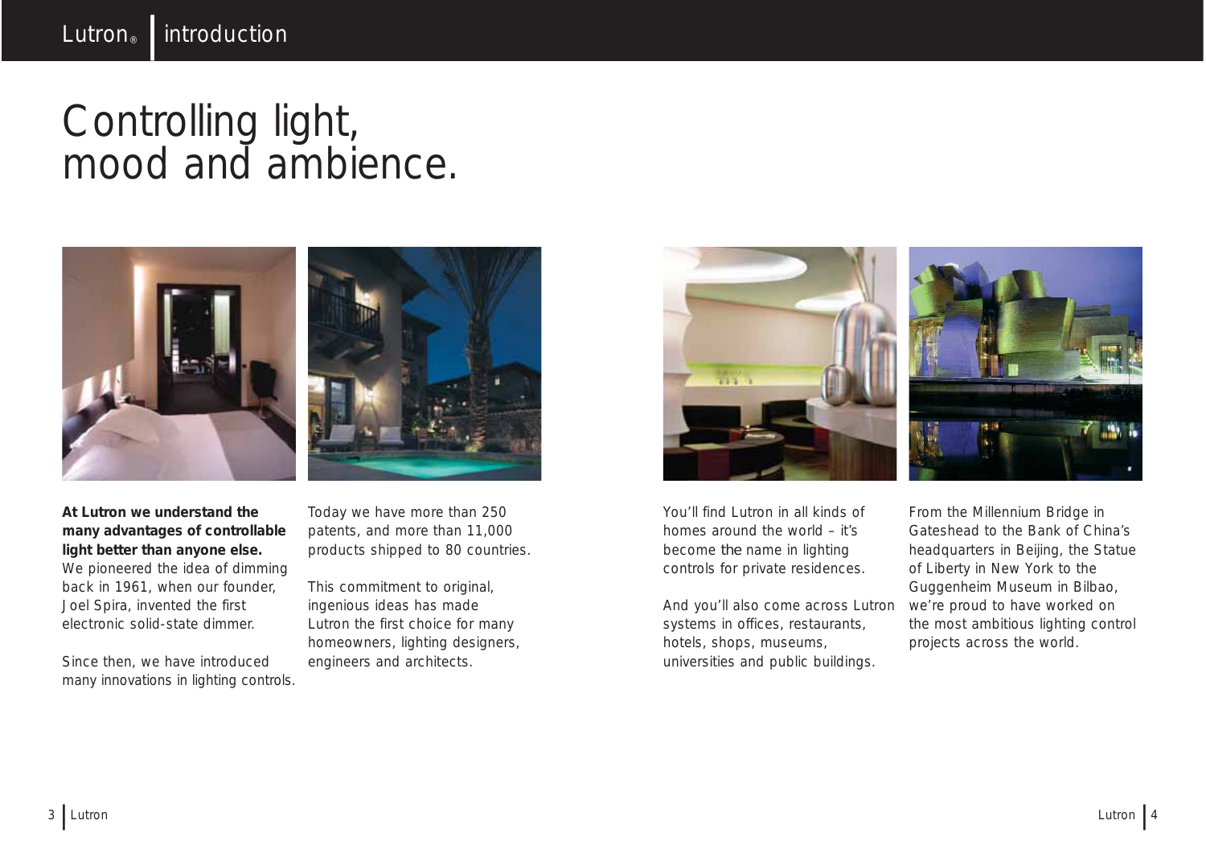### Controlling light, mood and ambience.



**At Lutron we understand the many advantages of controllable light better than anyone else.**

We pioneered the idea of dimming back in 1961, when our founder, Joel Spira, invented the first electronic solid-state dimmer.

Since then, we have introduced many innovations in lighting controls. Today we have more than 250 patents, and more than 11,000 products shipped to 80 countries.

This commitment to original, ingenious ideas has made Lutron the first choice for many homeowners, lighting designers, engineers and architects.



You'll find Lutron in all kinds of homes around the world – it's become *the* name in lighting controls for private residences.

And you'll also come across Lutron systems in offices, restaurants, hotels, shops, museums, universities and public buildings.

From the Millennium Bridge in Gateshead to the Bank of China's headquarters in Beijing, the Statue of Liberty in New York to the Guggenheim Museum in Bilbao, we're proud to have worked on the most ambitious lighting control projects across the world.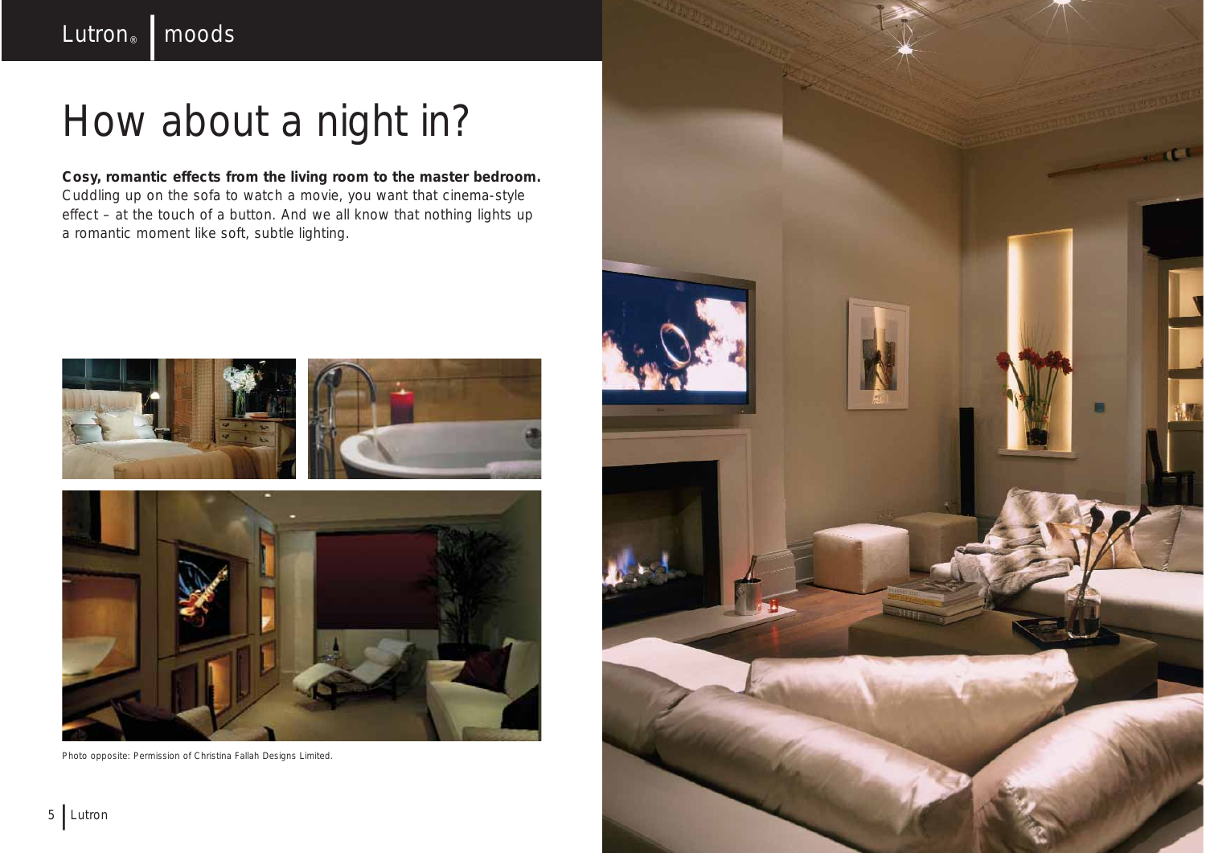# How about a night in?

**Cosy, romantic effects from the living room to the master bedroom.** Cuddling up on the sofa to watch a movie, you want that cinema-style effect – at the touch of a button. And we all know that nothing lights up a romantic moment like soft, subtle lighting.



Photo opposite: Permission of Christina Fallah Designs Limited.

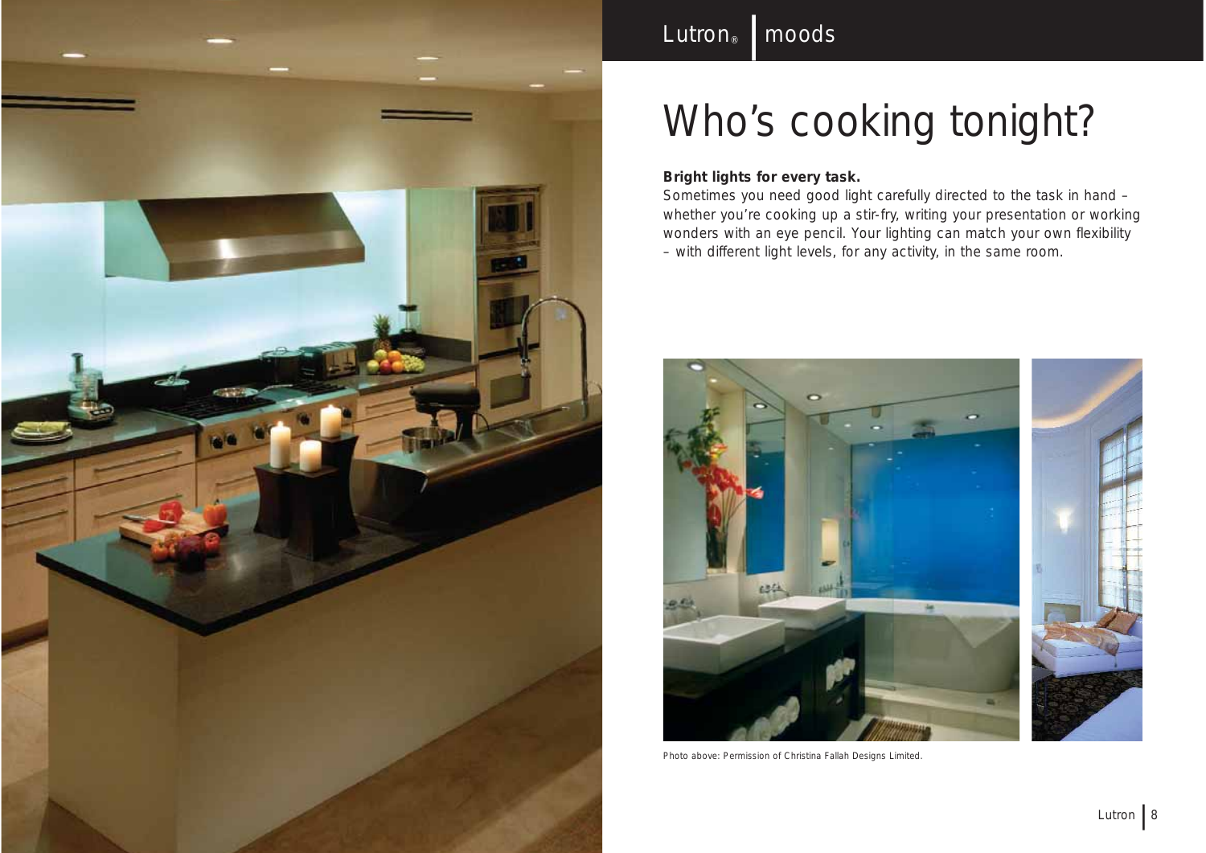

# Who's cooking tonight?

#### **Bright lights for every task.**

Lutron<sup>®</sup> | moods

Sometimes you need good light carefully directed to the task in hand – whether you're cooking up a stir-fry, writing your presentation or working wonders with an eye pencil. Your lighting can match your own flexibility – with different light levels, for any activity, in the same room.



Photo above: Permission of Christina Fallah Designs Limited.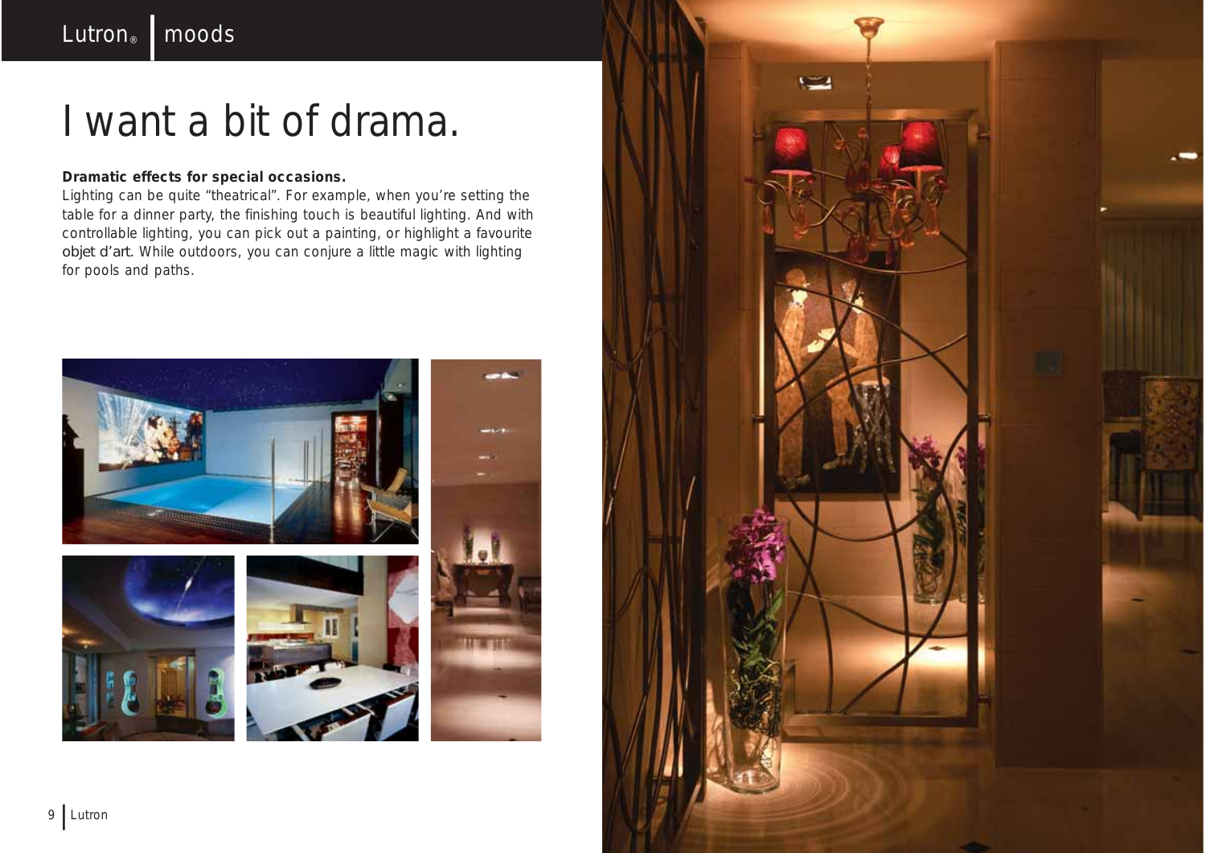### I want a bit of drama.

#### **Dramatic effects for special occasions.**

Lighting can be quite "theatrical". For example, when you're setting the table for a dinner party, the finishing touch is beautiful lighting. And with controllable lighting, you can pick out a painting, or highlight a favourite *objet d'art.* While outdoors, you can conjure a little magic with lighting for pools and paths.



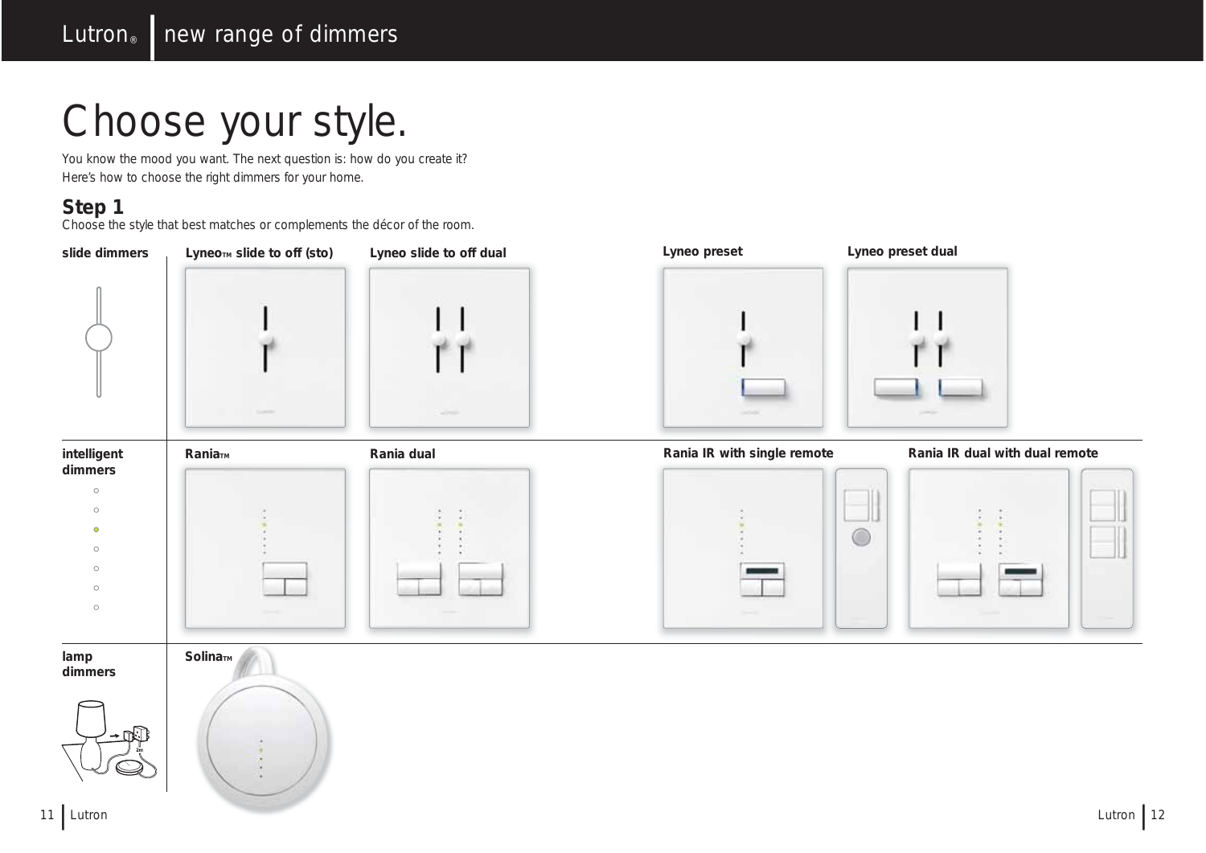# Choose your style.

You know the mood you want. The next question is: how do you create it? Here's how to choose the right dimmers for your home.

### **Step 1**

Choose the style that best matches or complements the décor of the room.

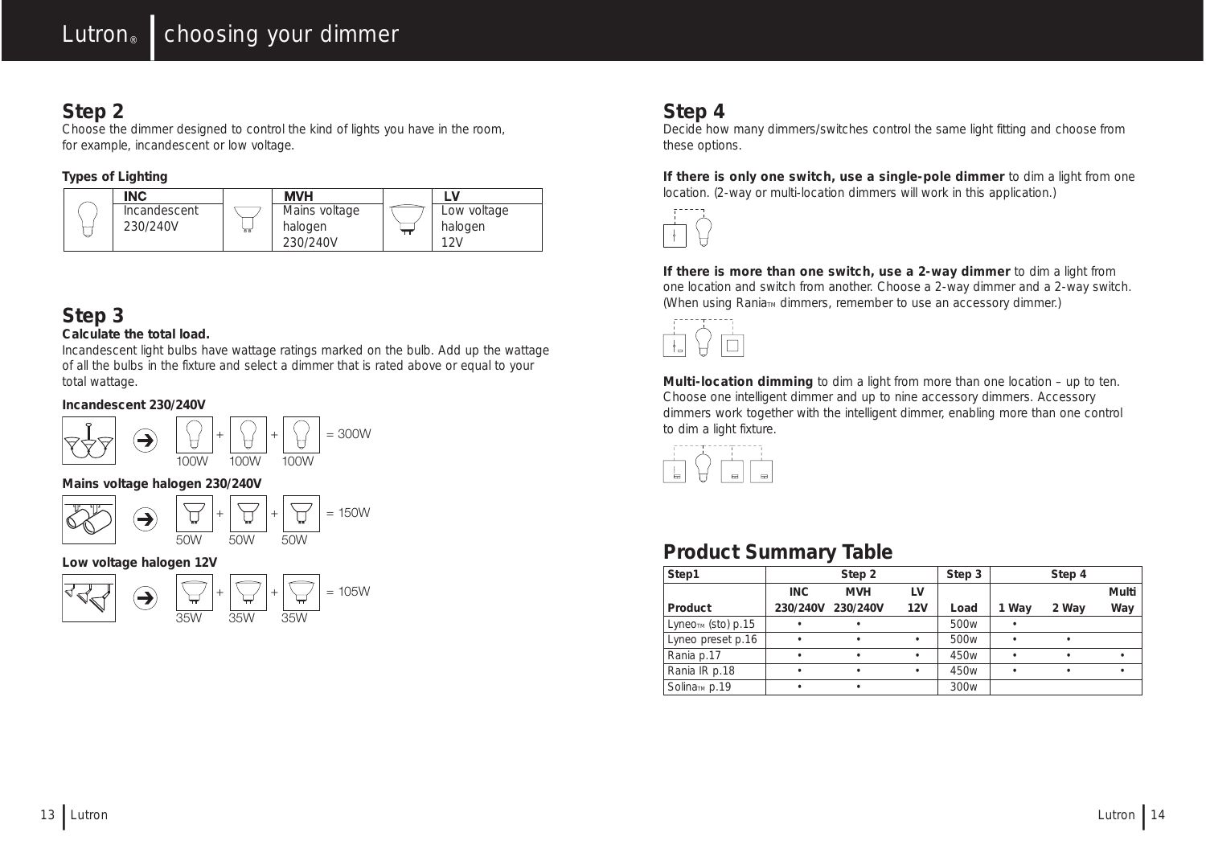### **Step 2**

Choose the dimmer designed to control the kind of lights you have in the room, for example, incandescent or low voltage.

#### **Types of Lighting**



### **Step 3**

#### **Calculate the total load.**

Incandescent light bulbs have wattage ratings marked on the bulb. Add up the wattage of all the bulbs in the fixture and select a dimmer that is rated above or equal to your total wattage.

#### **Incandescent 230/240V**



#### **Mains voltage halogen 230/240V**

 $\setminus$  +  $\setminus$  + = 150W  $\bigodot$ 口 50W 50W 50W

#### **Low voltage halogen 12V**



### **Step 4**

Decide how many dimmers/switches control the same light fitting and choose from these options.

**If there is only one switch, use a single-pole dimmer** to dim a light from one location. (2-way or multi-location dimmers will work in this application.)



**If there is more than one switch, use a 2-way dimmer** to dim a light from one location and switch from another. Choose a 2-way dimmer and a 2-way switch. (When using Rania<sub>TM</sub> dimmers, remember to use an accessory dimmer.)



**Multi-location dimming** to dim a light from more than one location – up to ten. Choose one intelligent dimmer and up to nine accessory dimmers. Accessory dimmers work together with the intelligent dimmer, enabling more than one control to dim a light fixture.



### **Product Summary Table**

| Step1                     |          | Step 2     |     | Step 3           |       | Step 4 |           |
|---------------------------|----------|------------|-----|------------------|-------|--------|-----------|
|                           | INC.     | <b>MVH</b> | LV  |                  |       |        | Multi     |
| Product                   | 230/240V | 230/240V   | 12V | Load             | 1 Way | 2 Way  | Way       |
| $L$ упеотм (sto) р.15     |          |            |     | 500 <sub>w</sub> |       |        |           |
| Lyneo preset p.16         | ٠        |            |     | 500 <sub>w</sub> |       | ٠      |           |
| Rania p.17                |          |            |     | 450 <sub>w</sub> |       | ٠      |           |
| Rania IR p.18             | ٠        | ٠          | ٠   | 450 <sub>w</sub> |       | ٠      | $\bullet$ |
| Solina <sub>TM</sub> p.19 |          |            |     | 300 <sub>w</sub> |       |        |           |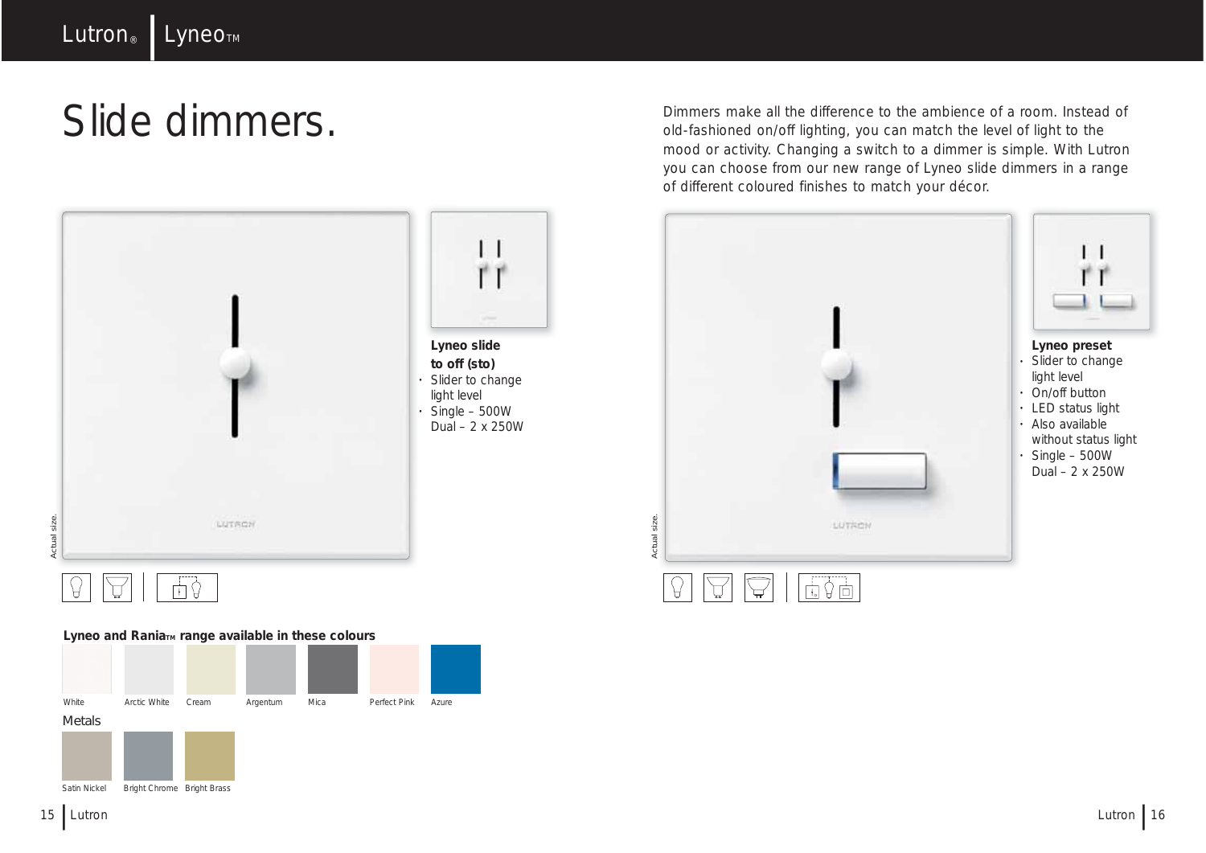## Slide dimmers.



#### Lyneo and Rania<sub>™</sub> range available in these colours



Metals



Dimmers make all the difference to the ambience of a room. Instead of old-fashioned on/off lighting, you can match the level of light to the mood or activity. Changing a switch to a dimmer is simple. With Lutron you can choose from our new range of Lyneo slide dimmers in a range of different coloured finishes to match your décor.



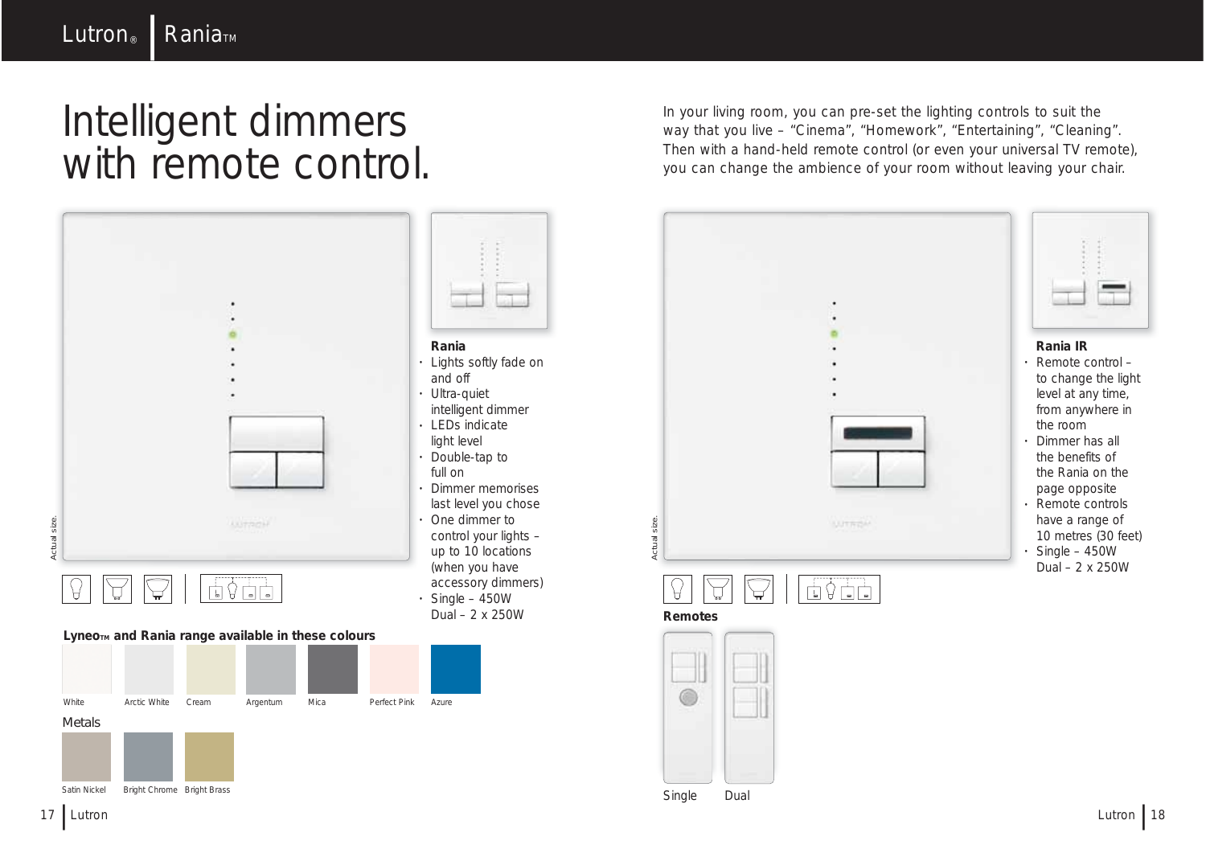### Intelligent dimmers with remote control.



In your living room, you can pre-set the lighting controls to suit the way that you live – "Cinema", "Homework", "Entertaining", "Cleaning". Then with a hand-held remote control (or even your universal TV remote), you can change the ambience of your room without leaving your chair.



Single Dual

G

Satin Nickel Bright Chrome Bright Brass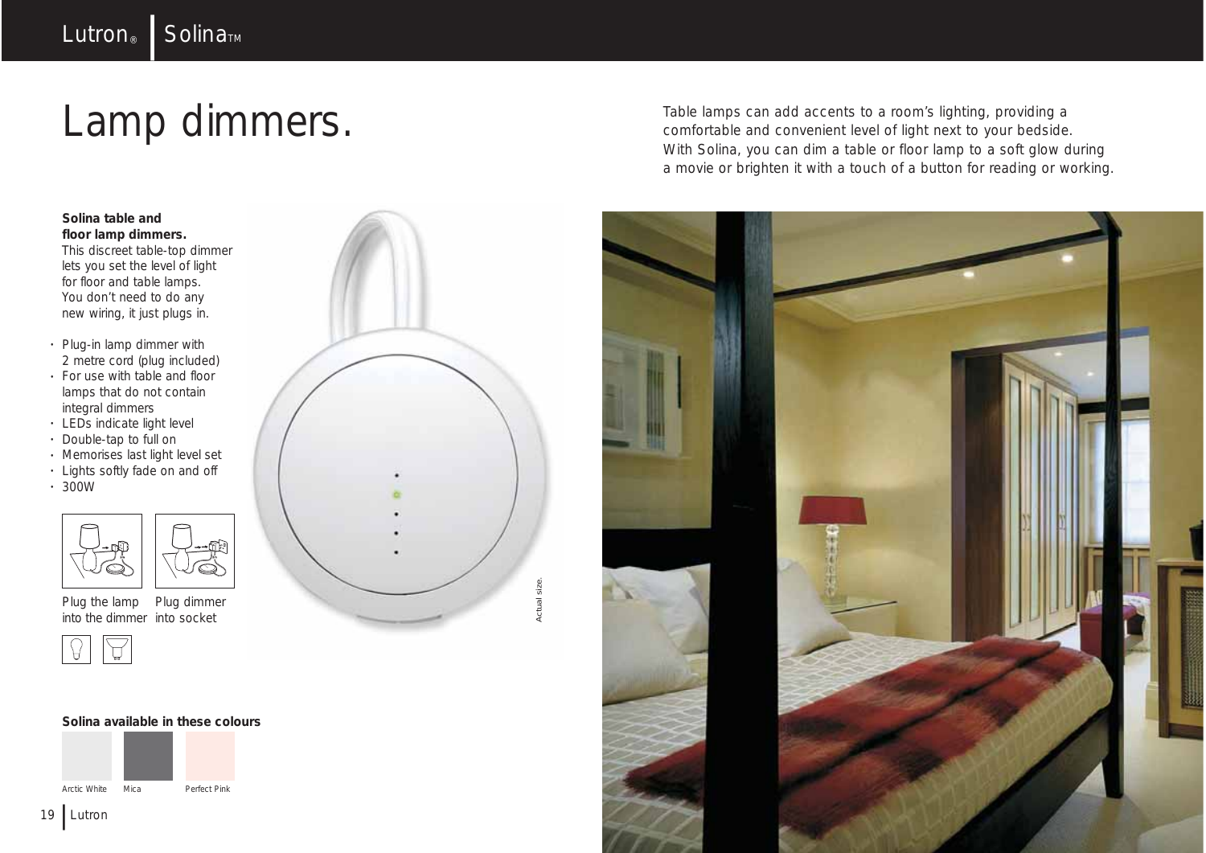# Lamp dimmers.

#### **Solina table and floor lamp dimmers.**

This discreet table-top dimmer lets you set the level of light for floor and table lamps. You don't need to do any new wiring, it just plugs in.

- Plug-in lamp dimmer with 2 metre cord (plug included)
- For use with table and floor lamps that do not contain integral dimmers
- LEDs indicate light level • Double-tap to full on
- Memorises last light level set
- Lights softly fade on and off
- $\cdot$  300W



**Solina available in these colours**

Perfect Pink

Plug the lamp into the dimmer into socket Plug dimmer



Arctic White Mica





Table lamps can add accents to a room's lighting, providing a comfortable and convenient level of light next to your bedside. With Solina, you can dim a table or floor lamp to a soft glow during a movie or brighten it with a touch of a button for reading or working.

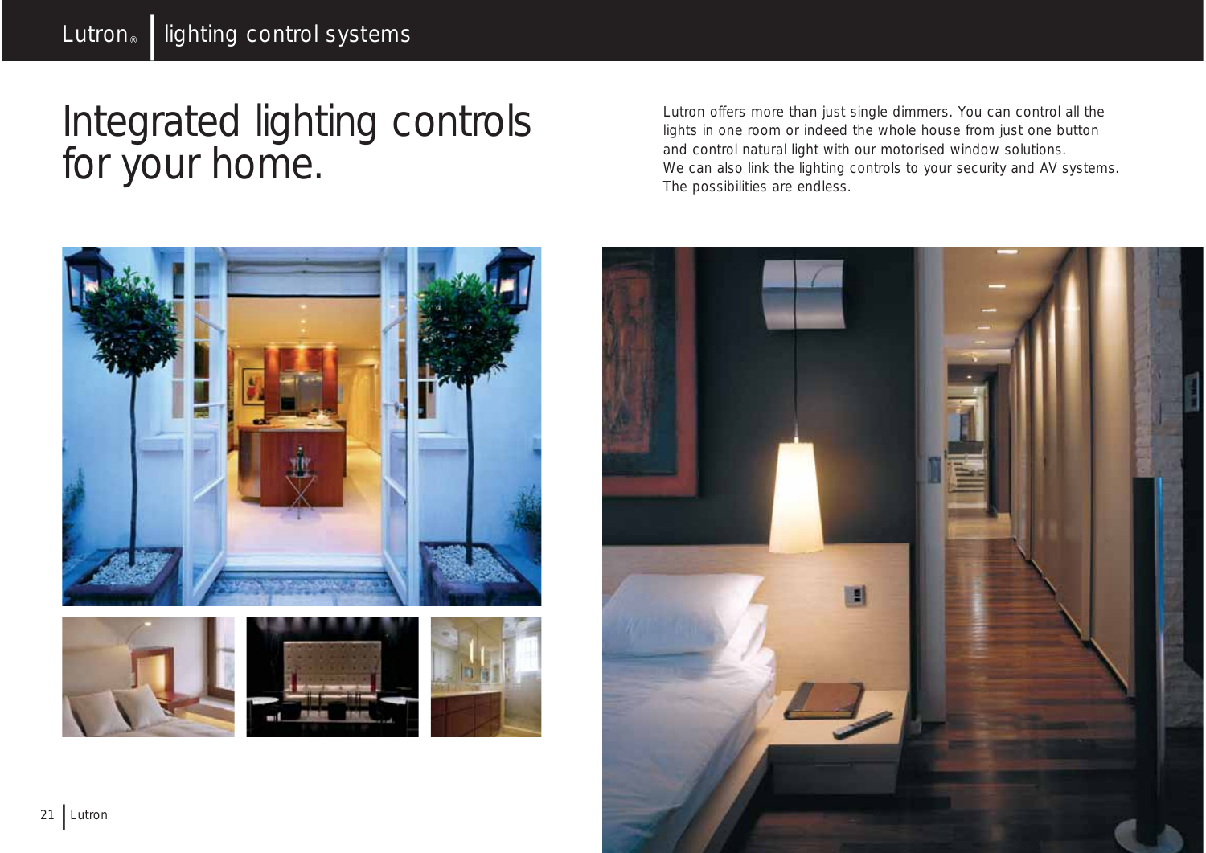### Integrated lighting controls for your home.

Lutron offers more than just single dimmers. You can control all the lights in one room or indeed the whole house from just one button and control natural light with our motorised window solutions. We can also link the lighting controls to your security and AV systems. The possibilities are endless.



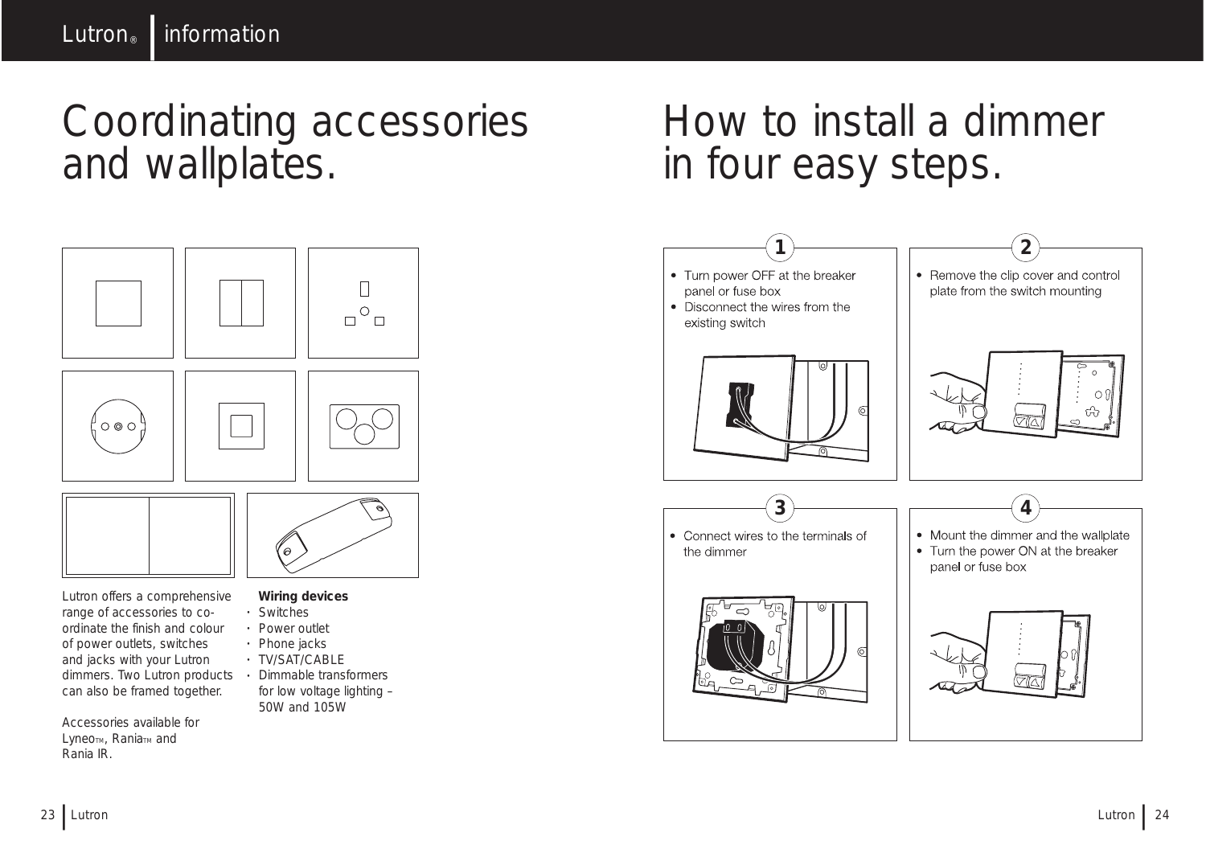Coordinating accessories and wallplates.

# $\Box$  $\Box^\circ \Box$  $\circ \circ \circ$



Lutron offers a comprehensive range of accessories to coordinate the finish and colour of power outlets, switches and jacks with your Lutron dimmers. Two Lutron products • Dimmable transformers can also be framed together.

Accessories available for Lyneo<sub>TM</sub>, Rania<sub>TM</sub> and Rania IR.

#### **Wiring devices**

- Switches
- Power outlet
- Phone jacks
- TV/SAT/CABLE
- for low voltage lighting 50W and 105W



- 
- 
- 
- 
- 

How to install a dimmer in four easy steps.